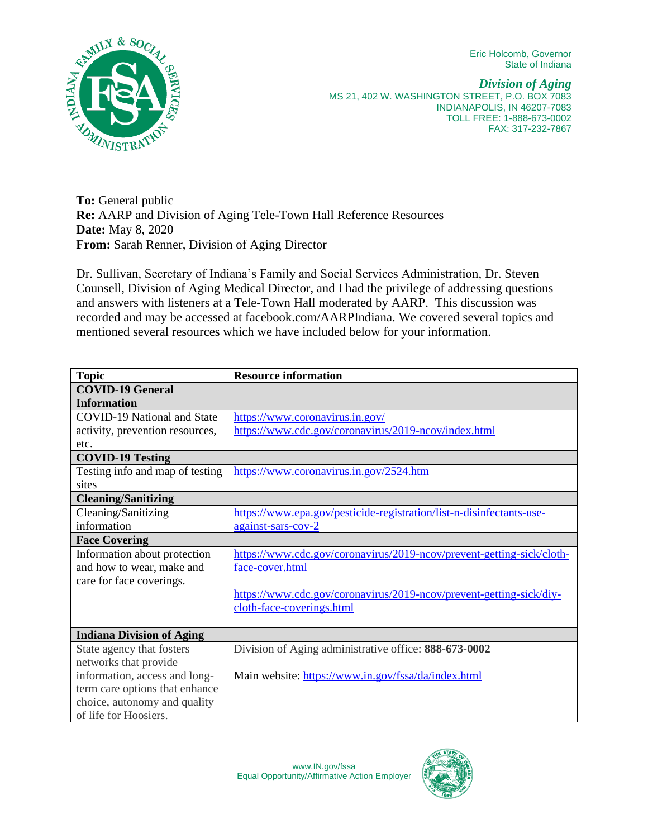Eric Holcomb, Governor State of Indiana



*Division of Aging*  MS 21, 402 W. WASHINGTON STREET, P.O. BOX 7083 INDIANAPOLIS, IN 46207-7083 TOLL FREE: 1-888-673-0002 FAX: 317-232-7867

**To:** General public **Re:** AARP and Division of Aging Tele-Town Hall Reference Resources **Date:** May 8, 2020 **From:** Sarah Renner, Division of Aging Director

Dr. Sullivan, Secretary of Indiana's Family and Social Services Administration, Dr. Steven Counsell, Division of Aging Medical Director, and I had the privilege of addressing questions and answers with listeners at a Tele-Town Hall moderated by AARP. This discussion was recorded and may be accessed at facebook.com/AARPIndiana. We covered several topics and mentioned several resources which we have included below for your information.

| <b>Topic</b>                       | <b>Resource information</b>                                           |
|------------------------------------|-----------------------------------------------------------------------|
| <b>COVID-19 General</b>            |                                                                       |
| <b>Information</b>                 |                                                                       |
| <b>COVID-19 National and State</b> | https://www.coronavirus.in.gov/                                       |
| activity, prevention resources,    | https://www.cdc.gov/coronavirus/2019-ncov/index.html                  |
| etc.                               |                                                                       |
| <b>COVID-19 Testing</b>            |                                                                       |
| Testing info and map of testing    | https://www.coronavirus.in.gov/2524.htm                               |
| sites                              |                                                                       |
| <b>Cleaning/Sanitizing</b>         |                                                                       |
| Cleaning/Sanitizing                | https://www.epa.gov/pesticide-registration/list-n-disinfectants-use-  |
| information                        | against-sars-cov-2                                                    |
| <b>Face Covering</b>               |                                                                       |
| Information about protection       | https://www.cdc.gov/coronavirus/2019-ncov/prevent-getting-sick/cloth- |
| and how to wear, make and          | face-cover.html                                                       |
| care for face coverings.           |                                                                       |
|                                    | https://www.cdc.gov/coronavirus/2019-ncov/prevent-getting-sick/diy-   |
|                                    | cloth-face-coverings.html                                             |
|                                    |                                                                       |
| <b>Indiana Division of Aging</b>   |                                                                       |
| State agency that fosters          | Division of Aging administrative office: 888-673-0002                 |
| networks that provide              |                                                                       |
| information, access and long-      | Main website: https://www.in.gov/fssa/da/index.html                   |
| term care options that enhance     |                                                                       |
| choice, autonomy and quality       |                                                                       |
| of life for Hoosiers.              |                                                                       |

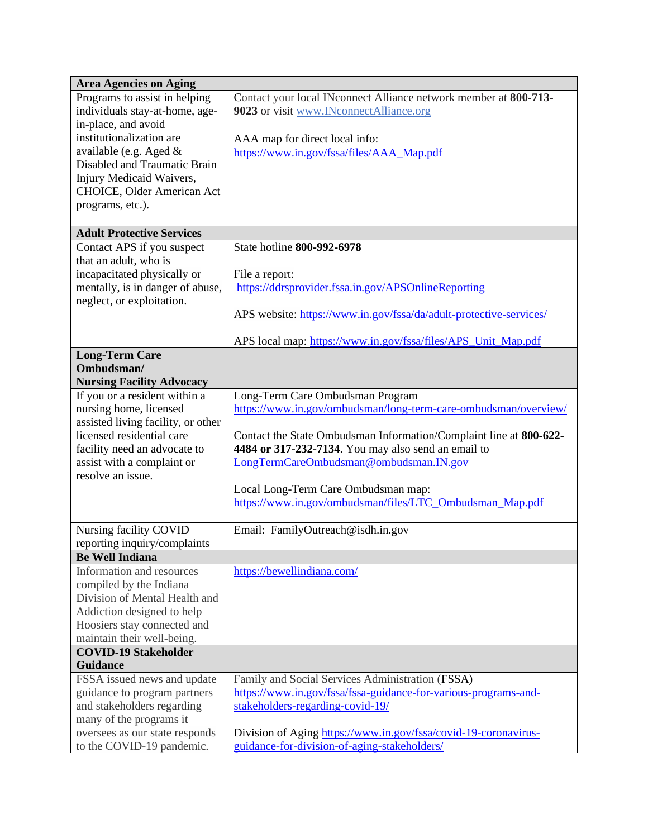| <b>Area Agencies on Aging</b>                               |                                                                                                                 |
|-------------------------------------------------------------|-----------------------------------------------------------------------------------------------------------------|
| Programs to assist in helping                               | Contact your local INconnect Alliance network member at 800-713-                                                |
| individuals stay-at-home, age-                              | 9023 or visit www.INconnectAlliance.org                                                                         |
| in-place, and avoid                                         |                                                                                                                 |
| institutionalization are                                    | AAA map for direct local info:                                                                                  |
| available (e.g. Aged &                                      | https://www.in.gov/fssa/files/AAA Map.pdf                                                                       |
| Disabled and Traumatic Brain                                |                                                                                                                 |
| Injury Medicaid Waivers,                                    |                                                                                                                 |
| <b>CHOICE, Older American Act</b>                           |                                                                                                                 |
| programs, etc.).                                            |                                                                                                                 |
| <b>Adult Protective Services</b>                            |                                                                                                                 |
| Contact APS if you suspect                                  | State hotline 800-992-6978                                                                                      |
| that an adult, who is                                       |                                                                                                                 |
| incapacitated physically or                                 | File a report:                                                                                                  |
| mentally, is in danger of abuse,                            | https://ddrsprovider.fssa.in.gov/APSOnlineReporting                                                             |
| neglect, or exploitation.                                   |                                                                                                                 |
|                                                             | APS website: https://www.in.gov/fssa/da/adult-protective-services/                                              |
|                                                             | APS local map: https://www.in.gov/fssa/files/APS_Unit_Map.pdf                                                   |
| <b>Long-Term Care</b>                                       |                                                                                                                 |
| Ombudsman/                                                  |                                                                                                                 |
| <b>Nursing Facility Advocacy</b>                            |                                                                                                                 |
| If you or a resident within a                               | Long-Term Care Ombudsman Program                                                                                |
| nursing home, licensed                                      | https://www.in.gov/ombudsman/long-term-care-ombudsman/overview/                                                 |
| assisted living facility, or other                          |                                                                                                                 |
| licensed residential care                                   | Contact the State Ombudsman Information/Complaint line at 800-622-                                              |
| facility need an advocate to                                | 4484 or 317-232-7134. You may also send an email to                                                             |
| assist with a complaint or                                  | LongTermCareOmbudsman@ombudsman.IN.gov                                                                          |
| resolve an issue.                                           |                                                                                                                 |
|                                                             | Local Long-Term Care Ombudsman map:                                                                             |
|                                                             | https://www.in.gov/ombudsman/files/LTC_Ombudsman_Map.pdf                                                        |
| Nursing facility COVID                                      | Email: FamilyOutreach@isdh.in.gov                                                                               |
| reporting inquiry/complaints                                |                                                                                                                 |
| <b>Be Well Indiana</b>                                      |                                                                                                                 |
| Information and resources                                   | https://bewellindiana.com/                                                                                      |
| compiled by the Indiana                                     |                                                                                                                 |
| Division of Mental Health and                               |                                                                                                                 |
| Addiction designed to help                                  |                                                                                                                 |
| Hoosiers stay connected and                                 |                                                                                                                 |
| maintain their well-being.                                  |                                                                                                                 |
| <b>COVID-19 Stakeholder</b>                                 |                                                                                                                 |
| <b>Guidance</b>                                             |                                                                                                                 |
| FSSA issued news and update                                 | Family and Social Services Administration (FSSA)                                                                |
| guidance to program partners                                | https://www.in.gov/fssa/fssa-guidance-for-various-programs-and-                                                 |
| and stakeholders regarding                                  | stakeholders-regarding-covid-19/                                                                                |
| many of the programs it                                     |                                                                                                                 |
| oversees as our state responds<br>to the COVID-19 pandemic. | Division of Aging https://www.in.gov/fssa/covid-19-coronavirus-<br>guidance-for-division-of-aging-stakeholders/ |
|                                                             |                                                                                                                 |